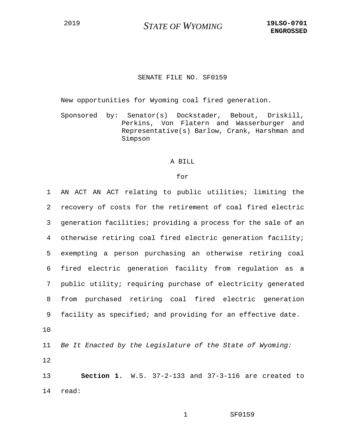## SENATE FILE NO. SF0159

New opportunities for Wyoming coal fired generation.

Sponsored by: Senator(s) Dockstader, Bebout, Driskill, Perkins, Von Flatern and Wasserburger and Representative(s) Barlow, Crank, Harshman and Simpson

## A BILL

## for

| 1  | AN ACT AN ACT relating to public utilities; limiting the        |
|----|-----------------------------------------------------------------|
| 2  | recovery of costs for the retirement of coal fired electric     |
| 3  | generation facilities; providing a process for the sale of an   |
| 4  | otherwise retiring coal fired electric generation facility;     |
| 5  | exempting a person purchasing an otherwise retiring coal        |
| 6  | fired electric generation facility from regulation as a         |
| 7  | public utility; requiring purchase of electricity generated     |
| 8  | from purchased retiring coal fired electric generation          |
| 9  | facility as specified; and providing for an effective date.     |
| 10 |                                                                 |
| 11 | Be It Enacted by the Legislature of the State of Wyoming:       |
| 12 |                                                                 |
| 13 | <b>Section 1.</b> W.S. $37-2-133$ and $37-3-116$ are created to |
| 14 | read:                                                           |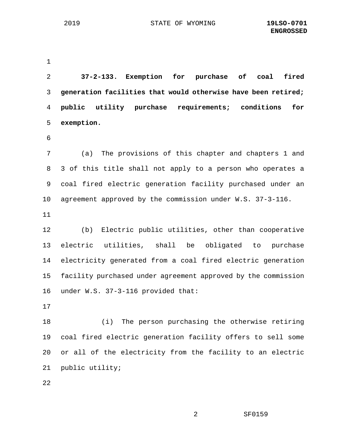1

2 **37-2-133. Exemption for purchase of coal fired**  3 **generation facilities that would otherwise have been retired;**  4 **public utility purchase requirements; conditions for**  5 **exemption.** 6 7 (a) The provisions of this chapter and chapters 1 and 8 3 of this title shall not apply to a person who operates a 9 coal fired electric generation facility purchased under an 10 agreement approved by the commission under W.S. 37-3-116. 11 12 (b) Electric public utilities, other than cooperative 13 electric utilities, shall be obligated to purchase 14 electricity generated from a coal fired electric generation 15 facility purchased under agreement approved by the commission 16 under W.S. 37-3-116 provided that: 17 18 (i) The person purchasing the otherwise retiring 19 coal fired electric generation facility offers to sell some 20 or all of the electricity from the facility to an electric 21 public utility;

22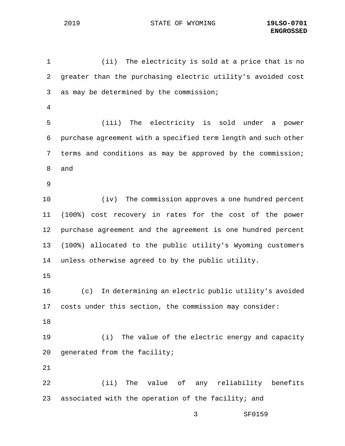3 SF0159 1 (ii) The electricity is sold at a price that is no 2 greater than the purchasing electric utility's avoided cost 3 as may be determined by the commission; 4 5 (iii) The electricity is sold under a power 6 purchase agreement with a specified term length and such other 7 terms and conditions as may be approved by the commission; 8 and 9 10 (iv) The commission approves a one hundred percent 11 (100%) cost recovery in rates for the cost of the power 12 purchase agreement and the agreement is one hundred percent 13 (100%) allocated to the public utility's Wyoming customers 14 unless otherwise agreed to by the public utility. 15 16 (c) In determining an electric public utility's avoided 17 costs under this section, the commission may consider: 18 19 (i) The value of the electric energy and capacity 20 generated from the facility; 21 22 (ii) The value of any reliability benefits 23 associated with the operation of the facility; and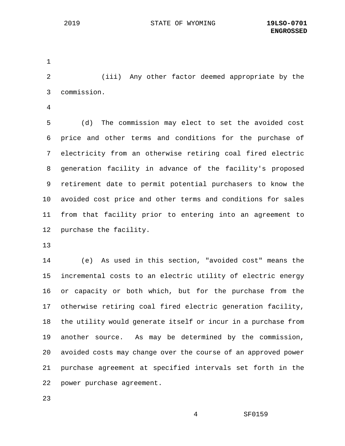1

2 (iii) Any other factor deemed appropriate by the 3 commission.

4

5 (d) The commission may elect to set the avoided cost 6 price and other terms and conditions for the purchase of 7 electricity from an otherwise retiring coal fired electric 8 generation facility in advance of the facility's proposed 9 retirement date to permit potential purchasers to know the 10 avoided cost price and other terms and conditions for sales 11 from that facility prior to entering into an agreement to 12 purchase the facility.

13

14 (e) As used in this section, "avoided cost" means the 15 incremental costs to an electric utility of electric energy 16 or capacity or both which, but for the purchase from the 17 otherwise retiring coal fired electric generation facility, 18 the utility would generate itself or incur in a purchase from 19 another source. As may be determined by the commission, 20 avoided costs may change over the course of an approved power 21 purchase agreement at specified intervals set forth in the 22 power purchase agreement.

23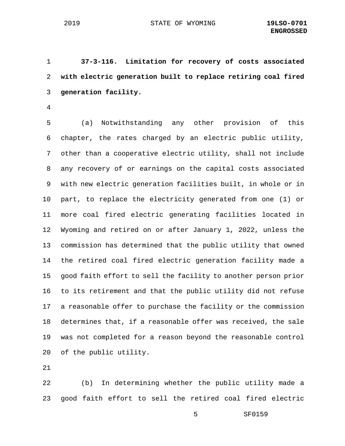1 **37-3-116. Limitation for recovery of costs associated**  2 **with electric generation built to replace retiring coal fired**  3 **generation facility.**

4

5 (a) Notwithstanding any other provision of this 6 chapter, the rates charged by an electric public utility, 7 other than a cooperative electric utility, shall not include 8 any recovery of or earnings on the capital costs associated 9 with new electric generation facilities built, in whole or in 10 part, to replace the electricity generated from one (1) or 11 more coal fired electric generating facilities located in 12 Wyoming and retired on or after January 1, 2022, unless the 13 commission has determined that the public utility that owned 14 the retired coal fired electric generation facility made a 15 good faith effort to sell the facility to another person prior 16 to its retirement and that the public utility did not refuse 17 a reasonable offer to purchase the facility or the commission 18 determines that, if a reasonable offer was received, the sale 19 was not completed for a reason beyond the reasonable control 20 of the public utility.

21

22 (b) In determining whether the public utility made a 23 good faith effort to sell the retired coal fired electric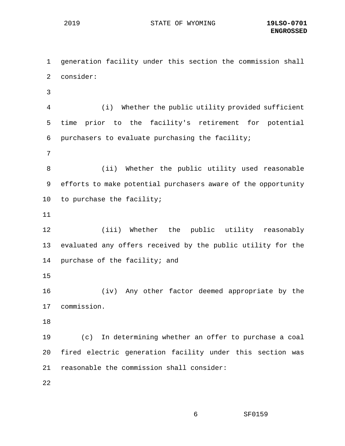1 generation facility under this section the commission shall 2 consider: 3 4 (i) Whether the public utility provided sufficient 5 time prior to the facility's retirement for potential 6 purchasers to evaluate purchasing the facility; 7 8 (ii) Whether the public utility used reasonable 9 efforts to make potential purchasers aware of the opportunity 10 to purchase the facility; 11 12 (iii) Whether the public utility reasonably 13 evaluated any offers received by the public utility for the 14 purchase of the facility; and 15 16 (iv) Any other factor deemed appropriate by the 17 commission. 18 19 (c) In determining whether an offer to purchase a coal 20 fired electric generation facility under this section was 21 reasonable the commission shall consider: 22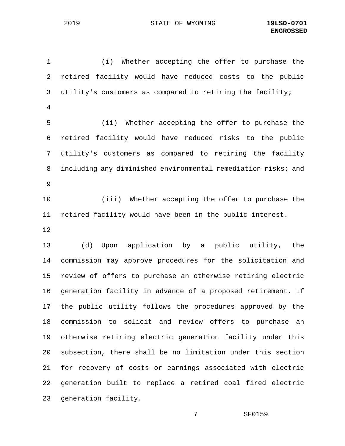1 (i) Whether accepting the offer to purchase the 2 retired facility would have reduced costs to the public 3 utility's customers as compared to retiring the facility; 4 5 (ii) Whether accepting the offer to purchase the 6 retired facility would have reduced risks to the public 7 utility's customers as compared to retiring the facility 8 including any diminished environmental remediation risks; and 9 10 (iii) Whether accepting the offer to purchase the 11 retired facility would have been in the public interest. 12 13 (d) Upon application by a public utility, the 14 commission may approve procedures for the solicitation and 15 review of offers to purchase an otherwise retiring electric 16 generation facility in advance of a proposed retirement. If 17 the public utility follows the procedures approved by the 18 commission to solicit and review offers to purchase an 19 otherwise retiring electric generation facility under this 20 subsection, there shall be no limitation under this section 21 for recovery of costs or earnings associated with electric 22 generation built to replace a retired coal fired electric 23 generation facility.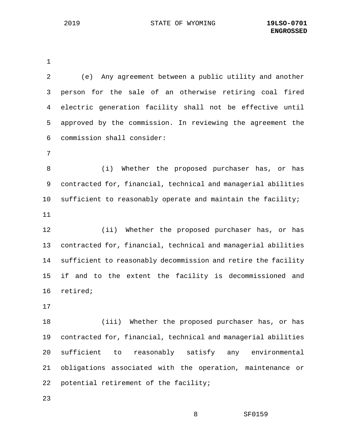1

2 (e) Any agreement between a public utility and another 3 person for the sale of an otherwise retiring coal fired 4 electric generation facility shall not be effective until 5 approved by the commission. In reviewing the agreement the 6 commission shall consider: 7 8 (i) Whether the proposed purchaser has, or has 9 contracted for, financial, technical and managerial abilities 10 sufficient to reasonably operate and maintain the facility; 11 12 (ii) Whether the proposed purchaser has, or has 13 contracted for, financial, technical and managerial abilities 14 sufficient to reasonably decommission and retire the facility 15 if and to the extent the facility is decommissioned and 16 retired; 17 18 (iii) Whether the proposed purchaser has, or has 19 contracted for, financial, technical and managerial abilities 20 sufficient to reasonably satisfy any environmental 21 obligations associated with the operation, maintenance or 22 potential retirement of the facility;

23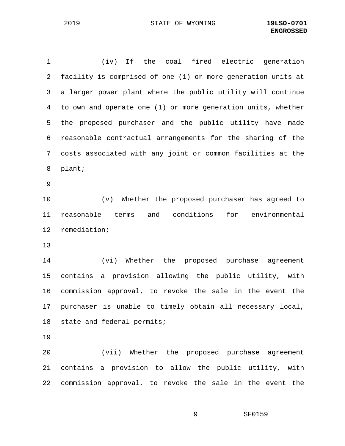1 (iv) If the coal fired electric generation 2 facility is comprised of one (1) or more generation units at 3 a larger power plant where the public utility will continue 4 to own and operate one (1) or more generation units, whether 5 the proposed purchaser and the public utility have made 6 reasonable contractual arrangements for the sharing of the 7 costs associated with any joint or common facilities at the 8 plant; 9 10 (v) Whether the proposed purchaser has agreed to 11 reasonable terms and conditions for environmental 12 remediation;

13

14 (vi) Whether the proposed purchase agreement 15 contains a provision allowing the public utility, with 16 commission approval, to revoke the sale in the event the 17 purchaser is unable to timely obtain all necessary local, 18 state and federal permits;

19

20 (vii) Whether the proposed purchase agreement 21 contains a provision to allow the public utility, with 22 commission approval, to revoke the sale in the event the